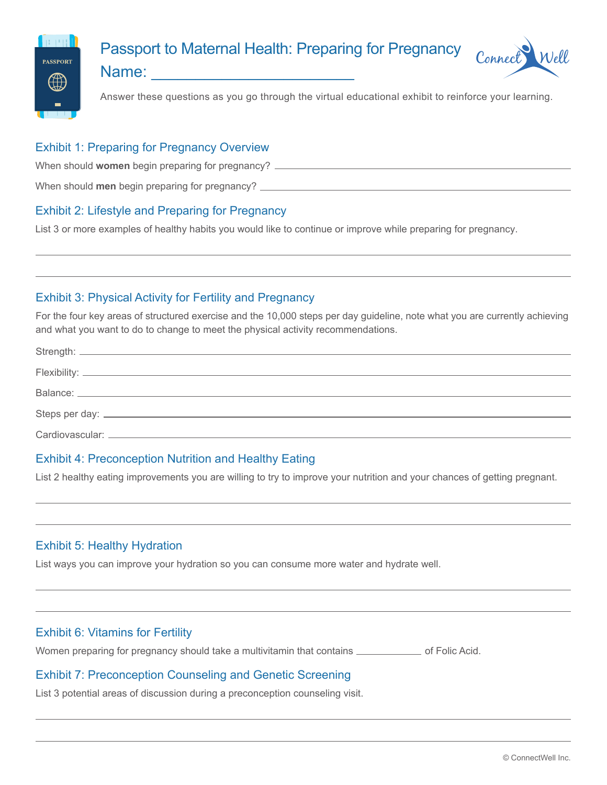

# Passport to Maternal Health: Preparing for Pregnancy



Name:

Answer these questions as you go through the virtual educational exhibit to reinforce your learning.

#### Exhibit 1: Preparing for Pregnancy Overview

When should **women** begin preparing for pregnancy?

When should **men** begin preparing for pregnancy?

### Exhibit 2: Lifestyle and Preparing for Pregnancy

List 3 or more examples of healthy habits you would like to continue or improve while preparing for pregnancy.

### Exhibit 3: Physical Activity for Fertility and Pregnancy

For the four key areas of structured exercise and the 10,000 steps per day guideline, note what you are currently achieving and what you want to do to change to meet the physical activity recommendations.

#### Exhibit 4: Preconception Nutrition and Healthy Eating

List 2 healthy eating improvements you are willing to try to improve your nutrition and your chances of getting pregnant.

### Exhibit 5: Healthy Hydration

List ways you can improve your hydration so you can consume more water and hydrate well.

### Exhibit 6: Vitamins for Fertility

Women preparing for pregnancy should take a multivitamin that contains **come and Folic Acid.** 

### Exhibit 7: Preconception Counseling and Genetic Screening

List 3 potential areas of discussion during a preconception counseling visit.